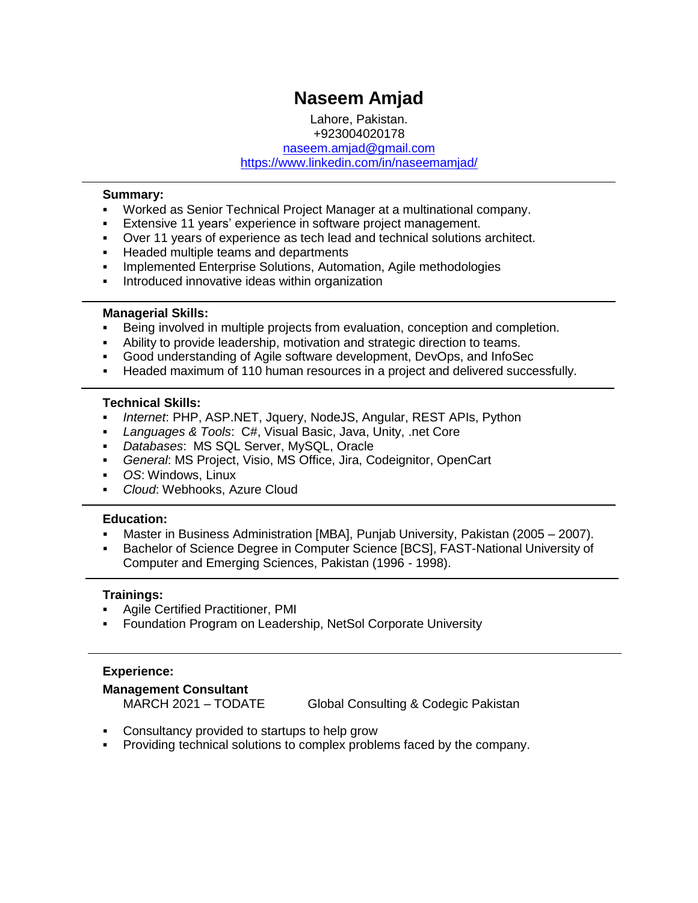# **Naseem Amjad**

Lahore, Pakistan. +923004020178 [naseem.amjad@gmail.com](mailto:naseem.amjad@gmail.com) <https://www.linkedin.com/in/naseemamjad/>

#### **Summary:**

- Worked as Senior Technical Project Manager at a multinational company.
- **Extensive 11 years' experience in software project management.**
- Over 11 years of experience as tech lead and technical solutions architect.
- **Headed multiple teams and departments**
- **Implemented Enterprise Solutions, Automation, Agile methodologies**
- **Introduced innovative ideas within organization**

#### **Managerial Skills:**

- Being involved in multiple projects from evaluation, conception and completion.
- Ability to provide leadership, motivation and strategic direction to teams.
- Good understanding of Agile software development, DevOps, and InfoSec
- Headed maximum of 110 human resources in a project and delivered successfully.

#### **Technical Skills:**

- *Internet*: PHP, ASP.NET, Jquery, NodeJS, Angular, REST APIs, Python
- *Languages & Tools*: C#, Visual Basic, Java, Unity, .net Core
- *Databases*: MS SQL Server, MySQL, Oracle
- *General*: MS Project, Visio, MS Office, Jira, Codeignitor, OpenCart
- *OS*: Windows, Linux
- *Cloud*: Webhooks, Azure Cloud

#### **Education:**

- Master in Business Administration [MBA], Punjab University, Pakistan (2005 2007).
- Bachelor of Science Degree in Computer Science [BCS], FAST-National University of Computer and Emerging Sciences, Pakistan (1996 - 1998).

#### **Trainings:**

- Agile Certified Practitioner, PMI
- Foundation Program on Leadership, NetSol Corporate University

#### **Experience:**

#### **Management Consultant**

MARCH 2021 – TODATE Global Consulting & Codegic Pakistan

- Consultancy provided to startups to help grow
- **Providing technical solutions to complex problems faced by the company.**